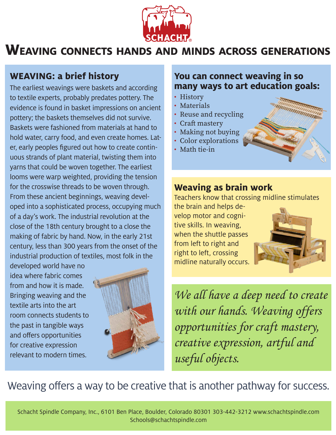

# **Weaving connects hands and minds across generations**

## **WEAVING: a brief history**

The earliest weavings were baskets and according to textile experts, probably predates pottery. The evidence is found in basket impressions on ancient pottery; the baskets themselves did not survive. Baskets were fashioned from materials at hand to hold water, carry food, and even create homes. Later, early peoples figured out how to create continuous strands of plant material, twisting them into yarns that could be woven together. The earliest looms were warp weighted, providing the tension for the crosswise threads to be woven through. From these ancient beginnings, weaving developed into a sophisticated process, occupying much of a day's work. The industrial revolution at the close of the 18th century brought to a close the making of fabric by hand. Now, in the early 21st century, less than 300 years from the onset of the industrial production of textiles, most folk in the

developed world have no idea where fabric comes from and how it is made. Bringing weaving and the textile arts into the art room connects students to the past in tangible ways and offers opportunities for creative expression relevant to modern times.



#### **You can connect weaving in so many ways to art education goals:**

- History
- Materials
- Reuse and recycling
- Craft mastery
- Making not buying
- Color explorations
- Math tie-in



Teachers know that crossing midline stimulates

the brain and helps develop motor and cognitive skills. In weaving, when the shuttle passes from left to right and right to left, crossing midline naturally occurs.



We all have a deep need to create with our hands. Weaving offers opportunities for craft mastery, creative expression, artful and useful objects.

## Weaving offers a way to be creative that is another pathway for success.

Schacht Spindle Company, Inc., 6101 Ben Place, Boulder, Colorado 80301 303-442-3212 www.schachtspindle.com Schools@schachtspindle.com